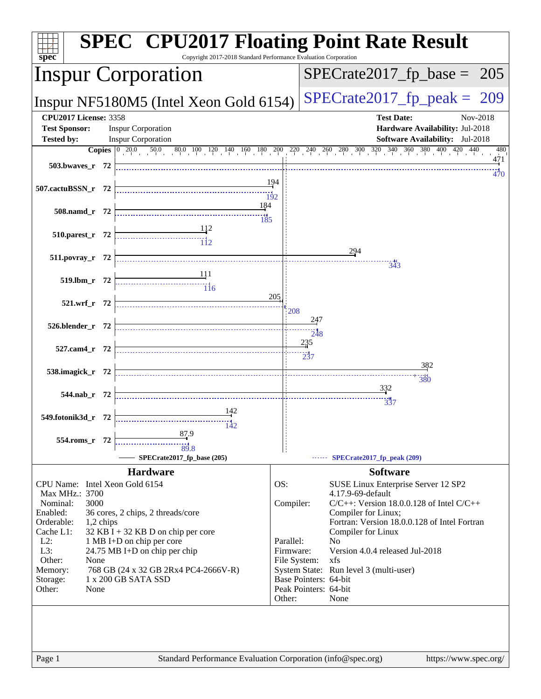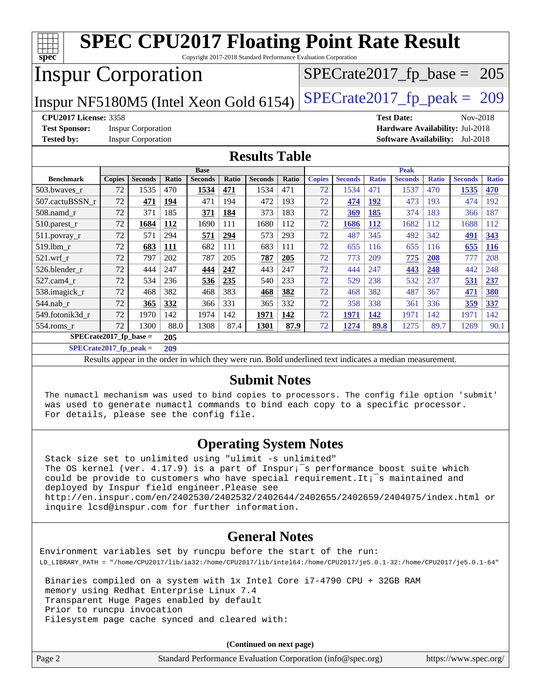| <b>SPEC CPU2017 Floating Point Rate Result</b><br>$spec^*$<br>Copyright 2017-2018 Standard Performance Evaluation Corporation |                                                               |                           |       |                |              |                |       |               |                |              |                |              |                                        |              |
|-------------------------------------------------------------------------------------------------------------------------------|---------------------------------------------------------------|---------------------------|-------|----------------|--------------|----------------|-------|---------------|----------------|--------------|----------------|--------------|----------------------------------------|--------------|
| <b>Inspur Corporation</b><br>$SPECTate2017_fp\_base = 205$                                                                    |                                                               |                           |       |                |              |                |       |               |                |              |                |              |                                        |              |
| $SPECrate2017_fp\_peak = 209$<br>Inspur NF5180M5 (Intel Xeon Gold 6154)                                                       |                                                               |                           |       |                |              |                |       |               |                |              |                |              |                                        |              |
|                                                                                                                               | <b>CPU2017 License: 3358</b><br><b>Test Date:</b><br>Nov-2018 |                           |       |                |              |                |       |               |                |              |                |              |                                        |              |
| <b>Test Sponsor:</b>                                                                                                          |                                                               | <b>Inspur Corporation</b> |       |                |              |                |       |               |                |              |                |              | Hardware Availability: Jul-2018        |              |
| <b>Tested by:</b>                                                                                                             |                                                               | <b>Inspur Corporation</b> |       |                |              |                |       |               |                |              |                |              | <b>Software Availability:</b> Jul-2018 |              |
| <b>Results Table</b>                                                                                                          |                                                               |                           |       |                |              |                |       |               |                |              |                |              |                                        |              |
|                                                                                                                               | <b>Peak</b><br><b>Base</b>                                    |                           |       |                |              |                |       |               |                |              |                |              |                                        |              |
| <b>Benchmark</b>                                                                                                              | <b>Copies</b>                                                 | <b>Seconds</b>            | Ratio | <b>Seconds</b> | <b>Ratio</b> | <b>Seconds</b> | Ratio | <b>Copies</b> | <b>Seconds</b> | <b>Ratio</b> | <b>Seconds</b> | <b>Ratio</b> | <b>Seconds</b>                         | <b>Ratio</b> |
| 503.bwaves_r                                                                                                                  | 72                                                            | 1535                      | 470   | 1534           | 471          | 1534           | 471   | 72            | 1534           | 471          | 1537           | 470          | 1535                                   | 470          |
| 507.cactuBSSN r                                                                                                               | 72                                                            | 471                       | 194   | 471            | 194          | 472            | 193   | 72            | 474            | <u>192</u>   | 473            | 193          | 474                                    | 192          |
| $508$ .namd $r$                                                                                                               | 72                                                            | 371                       | 185   | 371            | 184          | 373            | 183   | 72            | 369            | 185          | 374            | 183          | 366                                    | 187          |
| 510.parest_r                                                                                                                  | 72                                                            | 1684                      | 112   | 1690           | 111          | 1680           | 112   | 72            | 1686           | 112          | 1682           | 112          | 1688                                   | 112          |
| 511.povray_r                                                                                                                  | 72                                                            | 571                       | 294   | 571            | 294          | 573            | 293   | 72            | 487            | 345          | 492            | 342          | 491                                    | 343          |
| 519.1bm r                                                                                                                     | 72                                                            | 683                       | 111   | 682            | 111          | 683            | 111   | 72            | 655            | 116          | 655            | 116          | 655                                    | <b>116</b>   |
| $521.wrf$ r                                                                                                                   | 72                                                            | 797                       | 202   | 787            | 205          | 787            | 205   | 72            | 773            | 209          | 775            | 208          | 777                                    | 208          |
| 526.blender_r                                                                                                                 | 72                                                            | 444                       | 247   | 444            | 247          | 443            | 247   | 72            | 444            | 247          | 443            | 248          | 442                                    | 248          |
| 527.cam4 r                                                                                                                    | 72                                                            | 534                       | 236   | 536            | 235          | 540            | 233   | 72            | 529            | 238          | 532            | 237          | 531                                    | 237          |
| 538.imagick r                                                                                                                 | 72                                                            | 468                       | 382   | 468            | 383          | 468            | 382   | 72            | 468            | 382          | 487            | 367          | 471                                    | 380          |
| 544.nab r                                                                                                                     | 72                                                            | 365                       | 332   | 366            | 331          | 365            | 332   | 72            | 358            | 338          | 361            | 336          | 359                                    | 337          |
| 549.fotonik3d r                                                                                                               | 72                                                            | 1970                      | 142   | 1974           | 142          | 1971           | 142   | 72            | 1971           | 142          | 1971           | 142          | 1971                                   | 142          |
| 554.roms_r                                                                                                                    | 72                                                            | 1300                      | 88.0  | 1308           | 87.4         | 1301           | 87.9  | 72            | 1274           | 89.8         | 1275           | 89.7         | 1269                                   | 90.1         |
|                                                                                                                               | $SPECrate2017_fp\_base =$<br>205                              |                           |       |                |              |                |       |               |                |              |                |              |                                        |              |
| SPECrate2017 fp peak $=$                                                                                                      |                                                               |                           | 209   |                |              |                |       |               |                |              |                |              |                                        |              |

Results appear in the [order in which they were run.](http://www.spec.org/auto/cpu2017/Docs/result-fields.html#RunOrder) Bold underlined text [indicates a median measurement.](http://www.spec.org/auto/cpu2017/Docs/result-fields.html#Median)

#### **[Submit Notes](http://www.spec.org/auto/cpu2017/Docs/result-fields.html#SubmitNotes)**

 The numactl mechanism was used to bind copies to processors. The config file option 'submit' was used to generate numactl commands to bind each copy to a specific processor. For details, please see the config file.

#### **[Operating System Notes](http://www.spec.org/auto/cpu2017/Docs/result-fields.html#OperatingSystemNotes)**

 Stack size set to unlimited using "ulimit -s unlimited" The OS kernel (ver.  $4.17.9$ ) is a part of Inspur;<sup> $-$ </sup>s performance boost suite which could be provide to customers who have special requirement. It; $\bar{z}$ s maintained and deployed by Inspur field engineer.Please see <http://en.inspur.com/en/2402530/2402532/2402644/2402655/2402659/2404075/index.html> or inquire lcsd@inspur.com for further information.

### **[General Notes](http://www.spec.org/auto/cpu2017/Docs/result-fields.html#GeneralNotes)**

Environment variables set by runcpu before the start of the run: LD\_LIBRARY\_PATH = "/home/CPU2017/lib/ia32:/home/CPU2017/lib/intel64:/home/CPU2017/je5.0.1-32:/home/CPU2017/je5.0.1-64"

 Binaries compiled on a system with 1x Intel Core i7-4790 CPU + 32GB RAM memory using Redhat Enterprise Linux 7.4 Transparent Huge Pages enabled by default Prior to runcpu invocation Filesystem page cache synced and cleared with:

|        | (Continued on next page)                                    |                       |
|--------|-------------------------------------------------------------|-----------------------|
| Page 2 | Standard Performance Evaluation Corporation (info@spec.org) | https://www.spec.org/ |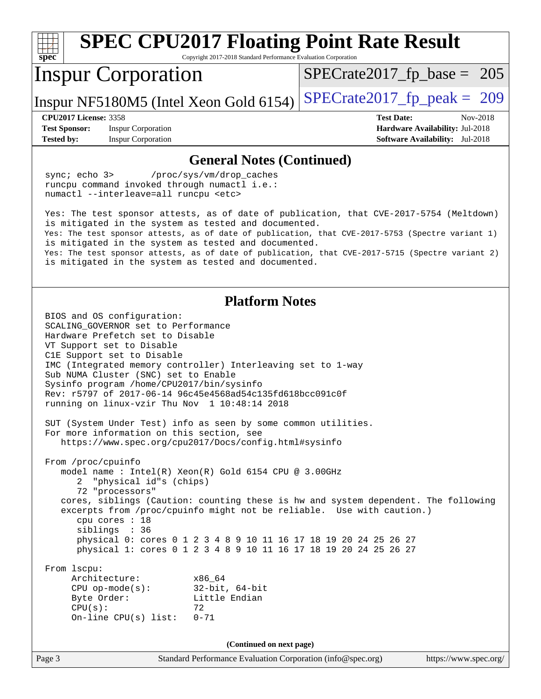| <b>SPEC CPU2017 Floating Point Rate Result</b>                                                                                                                                                                                                                                                                                                                                                                                                                          |                                                                           |  |  |  |
|-------------------------------------------------------------------------------------------------------------------------------------------------------------------------------------------------------------------------------------------------------------------------------------------------------------------------------------------------------------------------------------------------------------------------------------------------------------------------|---------------------------------------------------------------------------|--|--|--|
| Copyright 2017-2018 Standard Performance Evaluation Corporation<br>spec <sup>®</sup>                                                                                                                                                                                                                                                                                                                                                                                    |                                                                           |  |  |  |
| <b>Inspur Corporation</b>                                                                                                                                                                                                                                                                                                                                                                                                                                               | $SPECrate2017_fp\_base = 205$                                             |  |  |  |
| Inspur NF5180M5 (Intel Xeon Gold 6154)                                                                                                                                                                                                                                                                                                                                                                                                                                  | $SPECrate2017_fp\_peak = 209$                                             |  |  |  |
| <b>CPU2017 License: 3358</b>                                                                                                                                                                                                                                                                                                                                                                                                                                            | <b>Test Date:</b><br>Nov-2018                                             |  |  |  |
| <b>Inspur Corporation</b><br><b>Test Sponsor:</b><br><b>Tested by:</b><br><b>Inspur Corporation</b>                                                                                                                                                                                                                                                                                                                                                                     | Hardware Availability: Jul-2018<br><b>Software Availability:</b> Jul-2018 |  |  |  |
| <b>General Notes (Continued)</b>                                                                                                                                                                                                                                                                                                                                                                                                                                        |                                                                           |  |  |  |
| sync; echo 3><br>/proc/sys/vm/drop_caches<br>runcpu command invoked through numactl i.e.:<br>numactl --interleave=all runcpu <etc></etc>                                                                                                                                                                                                                                                                                                                                |                                                                           |  |  |  |
| Yes: The test sponsor attests, as of date of publication, that CVE-2017-5754 (Meltdown)<br>is mitigated in the system as tested and documented.<br>Yes: The test sponsor attests, as of date of publication, that CVE-2017-5753 (Spectre variant 1)<br>is mitigated in the system as tested and documented.<br>Yes: The test sponsor attests, as of date of publication, that CVE-2017-5715 (Spectre variant 2)<br>is mitigated in the system as tested and documented. |                                                                           |  |  |  |
| <b>Platform Notes</b><br>BIOS and OS configuration:<br>SCALING GOVERNOR set to Performance<br>Hardware Prefetch set to Disable<br>VT Support set to Disable<br>C1E Support set to Disable<br>IMC (Integrated memory controller) Interleaving set to 1-way<br>Sub NUMA Cluster (SNC) set to Enable<br>Sysinfo program /home/CPU2017/bin/sysinfo<br>Rev: r5797 of 2017-06-14 96c45e4568ad54c135fd618bcc091c0f<br>running on linux-vzir Thu Nov 1 10:48:14 2018            |                                                                           |  |  |  |
| SUT (System Under Test) info as seen by some common utilities.<br>For more information on this section, see<br>https://www.spec.org/cpu2017/Docs/config.html#sysinfo                                                                                                                                                                                                                                                                                                    |                                                                           |  |  |  |
| From /proc/cpuinfo<br>model name: Intel(R) Xeon(R) Gold 6154 CPU @ 3.00GHz<br>"physical id"s (chips)<br>2<br>72 "processors"<br>cores, siblings (Caution: counting these is hw and system dependent. The following<br>excerpts from /proc/cpuinfo might not be reliable. Use with caution.)<br>cpu cores : 18<br>siblings : 36<br>physical 0: cores 0 1 2 3 4 8 9 10 11 16 17 18 19 20 24 25 26 27<br>physical 1: cores 0 1 2 3 4 8 9 10 11 16 17 18 19 20 24 25 26 27  |                                                                           |  |  |  |
| From 1scpu:<br>Architecture:<br>x86_64<br>$32$ -bit, $64$ -bit<br>$CPU$ op-mode( $s$ ):<br>Little Endian<br>Byte Order:<br>CPU(s):<br>72<br>On-line $CPU(s)$ list:<br>$0 - 71$                                                                                                                                                                                                                                                                                          |                                                                           |  |  |  |
| (Continued on next page)                                                                                                                                                                                                                                                                                                                                                                                                                                                |                                                                           |  |  |  |
| Page 3<br>Standard Performance Evaluation Corporation (info@spec.org)                                                                                                                                                                                                                                                                                                                                                                                                   | https://www.spec.org/                                                     |  |  |  |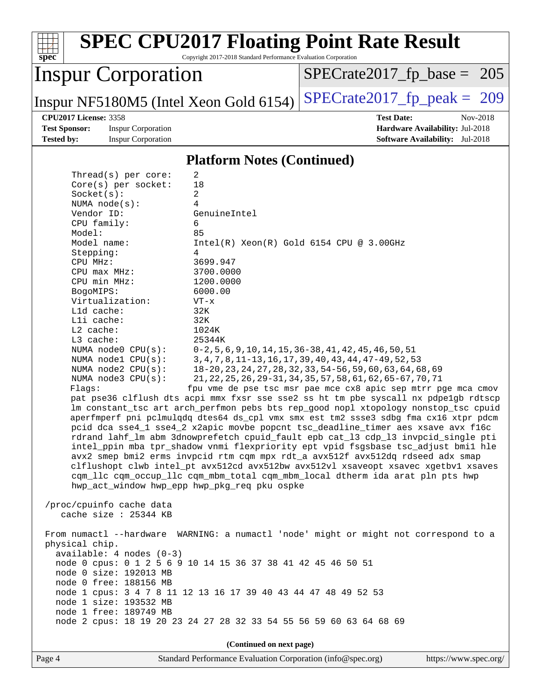| $spec^*$                                                                                                                                                                                                    |                                                                                                                                                                                                                                    | <b>SPEC CPU2017 Floating Point Rate Result</b><br>Copyright 2017-2018 Standard Performance Evaluation Corporation                                                                                                                                                                                                                                                                                                                                                                                                                                                                                                                                                                                                                                                                                                                                                                                                                                                                                                                                                                                                                                                                                                                                                                                                                                                                 |  |                                                                                                            |
|-------------------------------------------------------------------------------------------------------------------------------------------------------------------------------------------------------------|------------------------------------------------------------------------------------------------------------------------------------------------------------------------------------------------------------------------------------|-----------------------------------------------------------------------------------------------------------------------------------------------------------------------------------------------------------------------------------------------------------------------------------------------------------------------------------------------------------------------------------------------------------------------------------------------------------------------------------------------------------------------------------------------------------------------------------------------------------------------------------------------------------------------------------------------------------------------------------------------------------------------------------------------------------------------------------------------------------------------------------------------------------------------------------------------------------------------------------------------------------------------------------------------------------------------------------------------------------------------------------------------------------------------------------------------------------------------------------------------------------------------------------------------------------------------------------------------------------------------------------|--|------------------------------------------------------------------------------------------------------------|
|                                                                                                                                                                                                             | <b>Inspur Corporation</b>                                                                                                                                                                                                          |                                                                                                                                                                                                                                                                                                                                                                                                                                                                                                                                                                                                                                                                                                                                                                                                                                                                                                                                                                                                                                                                                                                                                                                                                                                                                                                                                                                   |  | $SPECrate2017_fp\_base = 205$                                                                              |
|                                                                                                                                                                                                             |                                                                                                                                                                                                                                    | Inspur NF5180M5 (Intel Xeon Gold 6154)                                                                                                                                                                                                                                                                                                                                                                                                                                                                                                                                                                                                                                                                                                                                                                                                                                                                                                                                                                                                                                                                                                                                                                                                                                                                                                                                            |  | $SPECTate2017$ _fp_peak = 209                                                                              |
| <b>CPU2017 License: 3358</b><br><b>Test Sponsor:</b><br><b>Tested by:</b>                                                                                                                                   | <b>Inspur Corporation</b><br><b>Inspur Corporation</b>                                                                                                                                                                             |                                                                                                                                                                                                                                                                                                                                                                                                                                                                                                                                                                                                                                                                                                                                                                                                                                                                                                                                                                                                                                                                                                                                                                                                                                                                                                                                                                                   |  | <b>Test Date:</b><br>Nov-2018<br>Hardware Availability: Jul-2018<br><b>Software Availability:</b> Jul-2018 |
|                                                                                                                                                                                                             |                                                                                                                                                                                                                                    | <b>Platform Notes (Continued)</b>                                                                                                                                                                                                                                                                                                                                                                                                                                                                                                                                                                                                                                                                                                                                                                                                                                                                                                                                                                                                                                                                                                                                                                                                                                                                                                                                                 |  |                                                                                                            |
| Socket(s):<br>Vendor ID:<br>CPU family:<br>Model:<br>Model name:<br>Stepping:<br>CPU MHz:<br>$CPU$ max $MHz$ :<br>CPU min MHz:<br>BogoMIPS:<br>L1d cache:<br>Lli cache:<br>L2 cache:<br>L3 cache:<br>Flags: | Thread( $s$ ) per core:<br>Core(s) per socket:<br>NUMA $node(s)$ :<br>Virtualization:<br>NUMA node0 CPU(s):<br>NUMA nodel CPU(s):<br>NUMA node2 CPU(s):<br>NUMA node3 CPU(s):<br>/proc/cpuinfo cache data<br>cache size : 25344 KB | $\overline{2}$<br>18<br>2<br>4<br>GenuineIntel<br>6<br>85<br>$Intel(R) Xeon(R) Gold 6154 CPU @ 3.00GHz$<br>4<br>3699.947<br>3700.0000<br>1200.0000<br>6000.00<br>$VT - x$<br>32K<br>32K<br>1024K<br>25344K<br>$0-2, 5, 6, 9, 10, 14, 15, 36-38, 41, 42, 45, 46, 50, 51$<br>3, 4, 7, 8, 11-13, 16, 17, 39, 40, 43, 44, 47-49, 52, 53<br>18-20, 23, 24, 27, 28, 32, 33, 54-56, 59, 60, 63, 64, 68, 69<br>21, 22, 25, 26, 29-31, 34, 35, 57, 58, 61, 62, 65-67, 70, 71<br>fpu vme de pse tsc msr pae mce cx8 apic sep mtrr pge mca cmov<br>pat pse36 clflush dts acpi mmx fxsr sse sse2 ss ht tm pbe syscall nx pdpe1gb rdtscp<br>lm constant_tsc art arch_perfmon pebs bts rep_good nopl xtopology nonstop_tsc cpuid<br>aperfmperf pni pclmulqdq dtes64 ds_cpl vmx smx est tm2 ssse3 sdbg fma cx16 xtpr pdcm<br>pcid dca sse4_1 sse4_2 x2apic movbe popcnt tsc_deadline_timer aes xsave avx f16c<br>rdrand lahf_lm abm 3dnowprefetch cpuid_fault epb cat_13 cdp_13 invpcid_single pti<br>intel_ppin mba tpr_shadow vnmi flexpriority ept vpid fsgsbase tsc_adjust bmil hle<br>avx2 smep bmi2 erms invpcid rtm cqm mpx rdt_a avx512f avx512dq rdseed adx smap<br>clflushopt clwb intel_pt avx512cd avx512bw avx512vl xsaveopt xsavec xgetbvl xsaves<br>cqm_llc cqm_occup_llc cqm_mbm_total cqm_mbm_local dtherm ida arat pln pts hwp<br>hwp_act_window hwp_epp hwp_pkg_req pku ospke |  |                                                                                                            |
| From numactl --hardware WARNING: a numactl 'node' might or might not correspond to a<br>physical chip.<br>$available: 4 nodes (0-3)$<br>node 0 cpus: 0 1 2 5 6 9 10 14 15 36 37 38 41 42 45 46 50 51        |                                                                                                                                                                                                                                    |                                                                                                                                                                                                                                                                                                                                                                                                                                                                                                                                                                                                                                                                                                                                                                                                                                                                                                                                                                                                                                                                                                                                                                                                                                                                                                                                                                                   |  |                                                                                                            |
|                                                                                                                                                                                                             | node 0 size: 192013 MB<br>node 0 free: 188156 MB<br>node 1 size: 193532 MB<br>node 1 free: 189749 MB                                                                                                                               | node 1 cpus: 3 4 7 8 11 12 13 16 17 39 40 43 44 47 48 49 52 53<br>node 2 cpus: 18 19 20 23 24 27 28 32 33 54 55 56 59 60 63 64 68 69                                                                                                                                                                                                                                                                                                                                                                                                                                                                                                                                                                                                                                                                                                                                                                                                                                                                                                                                                                                                                                                                                                                                                                                                                                              |  |                                                                                                            |
|                                                                                                                                                                                                             |                                                                                                                                                                                                                                    | (Continued on next page)                                                                                                                                                                                                                                                                                                                                                                                                                                                                                                                                                                                                                                                                                                                                                                                                                                                                                                                                                                                                                                                                                                                                                                                                                                                                                                                                                          |  |                                                                                                            |
| Page 4                                                                                                                                                                                                      |                                                                                                                                                                                                                                    | Standard Performance Evaluation Corporation (info@spec.org)                                                                                                                                                                                                                                                                                                                                                                                                                                                                                                                                                                                                                                                                                                                                                                                                                                                                                                                                                                                                                                                                                                                                                                                                                                                                                                                       |  | https://www.spec.org/                                                                                      |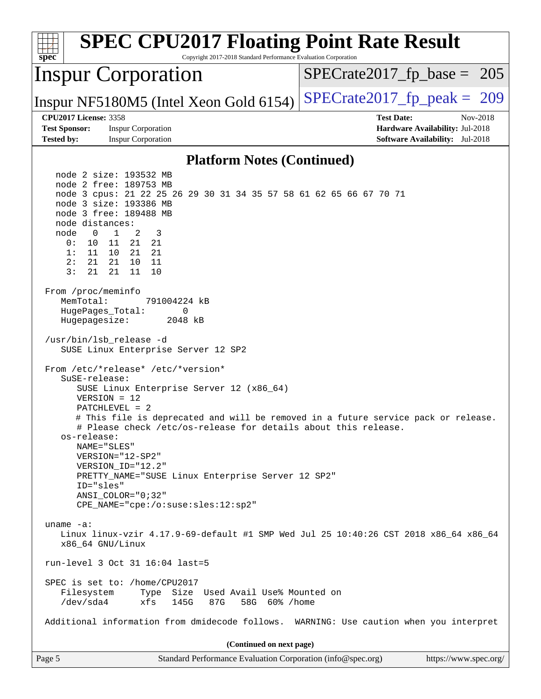| <b>Inspur Corporation</b><br>$SPECTate2017_fp\_base = 205$<br>$SPECTate2017$ _fp_peak = 209<br>Inspur NF5180M5 (Intel Xeon Gold 6154)<br><b>CPU2017 License: 3358</b><br><b>Test Date:</b><br>Nov-2018<br><b>Test Sponsor:</b><br><b>Inspur Corporation</b><br>Hardware Availability: Jul-2018<br><b>Tested by:</b><br><b>Inspur Corporation</b><br><b>Software Availability:</b> Jul-2018<br><b>Platform Notes (Continued)</b><br>node 2 size: 193532 MB<br>node 2 free: 189753 MB<br>node 3 cpus: 21 22 25 26 29 30 31 34 35 57 58 61 62 65 66 67 70 71<br>node 3 size: 193386 MB<br>node 3 free: 189488 MB<br>node distances:<br>$\mathbf{1}$<br>node<br>$\overline{\phantom{0}}$<br>2<br>3<br>21 21<br>0 :<br>10<br>11<br>10 21 21<br>11<br>1:<br>21<br>21 10<br>11<br>2:<br>3:<br>21<br>21<br>10<br>11<br>From /proc/meminfo<br>MemTotal:<br>791004224 kB<br>HugePages_Total:<br>0<br>Hugepagesize:<br>2048 kB<br>/usr/bin/lsb_release -d<br>SUSE Linux Enterprise Server 12 SP2<br>From /etc/*release* /etc/*version*<br>SuSE-release:<br>SUSE Linux Enterprise Server 12 (x86_64)<br>$VERSION = 12$<br>$PATCHLEVEL = 2$<br># This file is deprecated and will be removed in a future service pack or release.<br># Please check /etc/os-release for details about this release.<br>os-release:<br>NAME="SLES"<br>VERSION="12-SP2"<br>VERSION ID="12.2"<br>PRETTY_NAME="SUSE Linux Enterprise Server 12 SP2"<br>ID="sles"<br>$ANSI$ _COLOR=" $0:32$ "<br>CPE_NAME="cpe:/o:suse:sles:12:sp2"<br>uname $-a$ :<br>Linux linux-vzir 4.17.9-69-default #1 SMP Wed Jul 25 10:40:26 CST 2018 x86_64 x86_64<br>x86_64 GNU/Linux<br>run-level 3 Oct 31 16:04 last=5<br>SPEC is set to: /home/CPU2017<br>Size Used Avail Use% Mounted on<br>Filesystem<br>Type<br>/dev/sda4<br>xfs<br>145G<br>87G<br>58G 60% / home<br>Additional information from dmidecode follows. WARNING: Use caution when you interpret<br>(Continued on next page)<br>Page 5<br>Standard Performance Evaluation Corporation (info@spec.org)<br>https://www.spec.org/ | <b>SPEC CPU2017 Floating Point Rate Result</b><br>Copyright 2017-2018 Standard Performance Evaluation Corporation<br>$spec^*$ |  |
|-----------------------------------------------------------------------------------------------------------------------------------------------------------------------------------------------------------------------------------------------------------------------------------------------------------------------------------------------------------------------------------------------------------------------------------------------------------------------------------------------------------------------------------------------------------------------------------------------------------------------------------------------------------------------------------------------------------------------------------------------------------------------------------------------------------------------------------------------------------------------------------------------------------------------------------------------------------------------------------------------------------------------------------------------------------------------------------------------------------------------------------------------------------------------------------------------------------------------------------------------------------------------------------------------------------------------------------------------------------------------------------------------------------------------------------------------------------------------------------------------------------------------------------------------------------------------------------------------------------------------------------------------------------------------------------------------------------------------------------------------------------------------------------------------------------------------------------------------------------------------------------------------------------------------------------------------------------------------------------------------------------------------------------------|-------------------------------------------------------------------------------------------------------------------------------|--|
|                                                                                                                                                                                                                                                                                                                                                                                                                                                                                                                                                                                                                                                                                                                                                                                                                                                                                                                                                                                                                                                                                                                                                                                                                                                                                                                                                                                                                                                                                                                                                                                                                                                                                                                                                                                                                                                                                                                                                                                                                                         |                                                                                                                               |  |
|                                                                                                                                                                                                                                                                                                                                                                                                                                                                                                                                                                                                                                                                                                                                                                                                                                                                                                                                                                                                                                                                                                                                                                                                                                                                                                                                                                                                                                                                                                                                                                                                                                                                                                                                                                                                                                                                                                                                                                                                                                         |                                                                                                                               |  |
|                                                                                                                                                                                                                                                                                                                                                                                                                                                                                                                                                                                                                                                                                                                                                                                                                                                                                                                                                                                                                                                                                                                                                                                                                                                                                                                                                                                                                                                                                                                                                                                                                                                                                                                                                                                                                                                                                                                                                                                                                                         |                                                                                                                               |  |
|                                                                                                                                                                                                                                                                                                                                                                                                                                                                                                                                                                                                                                                                                                                                                                                                                                                                                                                                                                                                                                                                                                                                                                                                                                                                                                                                                                                                                                                                                                                                                                                                                                                                                                                                                                                                                                                                                                                                                                                                                                         |                                                                                                                               |  |
|                                                                                                                                                                                                                                                                                                                                                                                                                                                                                                                                                                                                                                                                                                                                                                                                                                                                                                                                                                                                                                                                                                                                                                                                                                                                                                                                                                                                                                                                                                                                                                                                                                                                                                                                                                                                                                                                                                                                                                                                                                         |                                                                                                                               |  |
|                                                                                                                                                                                                                                                                                                                                                                                                                                                                                                                                                                                                                                                                                                                                                                                                                                                                                                                                                                                                                                                                                                                                                                                                                                                                                                                                                                                                                                                                                                                                                                                                                                                                                                                                                                                                                                                                                                                                                                                                                                         |                                                                                                                               |  |
|                                                                                                                                                                                                                                                                                                                                                                                                                                                                                                                                                                                                                                                                                                                                                                                                                                                                                                                                                                                                                                                                                                                                                                                                                                                                                                                                                                                                                                                                                                                                                                                                                                                                                                                                                                                                                                                                                                                                                                                                                                         |                                                                                                                               |  |
|                                                                                                                                                                                                                                                                                                                                                                                                                                                                                                                                                                                                                                                                                                                                                                                                                                                                                                                                                                                                                                                                                                                                                                                                                                                                                                                                                                                                                                                                                                                                                                                                                                                                                                                                                                                                                                                                                                                                                                                                                                         |                                                                                                                               |  |
|                                                                                                                                                                                                                                                                                                                                                                                                                                                                                                                                                                                                                                                                                                                                                                                                                                                                                                                                                                                                                                                                                                                                                                                                                                                                                                                                                                                                                                                                                                                                                                                                                                                                                                                                                                                                                                                                                                                                                                                                                                         |                                                                                                                               |  |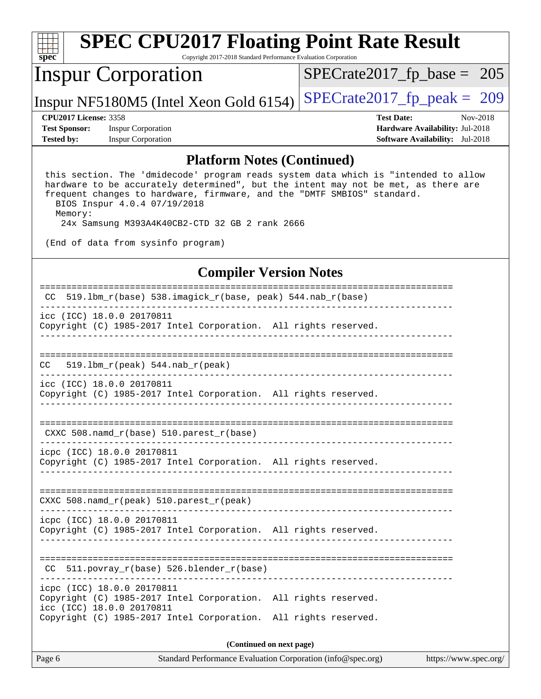| spec                         | <b>SPEC CPU2017 Floating Point Rate Result</b><br>Copyright 2017-2018 Standard Performance Evaluation Corporation |                                        |          |
|------------------------------|-------------------------------------------------------------------------------------------------------------------|----------------------------------------|----------|
|                              | <b>Inspur Corporation</b>                                                                                         | $SPECrate2017_fp\_base = 205$          |          |
|                              | Inspur NF5180M5 (Intel Xeon Gold 6154)                                                                            | $SPECrate2017_fp\_peak = 209$          |          |
| <b>CPU2017 License: 3358</b> |                                                                                                                   | <b>Test Date:</b>                      | Nov-2018 |
| <b>Test Sponsor:</b>         | <b>Inspur Corporation</b>                                                                                         | Hardware Availability: Jul-2018        |          |
| <b>Tested by:</b>            | <b>Inspur Corporation</b>                                                                                         | <b>Software Availability:</b> Jul-2018 |          |
|                              |                                                                                                                   |                                        |          |

#### **[Platform Notes \(Continued\)](http://www.spec.org/auto/cpu2017/Docs/result-fields.html#PlatformNotes)**

 this section. The 'dmidecode' program reads system data which is "intended to allow hardware to be accurately determined", but the intent may not be met, as there are frequent changes to hardware, firmware, and the "DMTF SMBIOS" standard. BIOS Inspur 4.0.4 07/19/2018

Memory:

24x Samsung M393A4K40CB2-CTD 32 GB 2 rank 2666

(End of data from sysinfo program)

#### **[Compiler Version Notes](http://www.spec.org/auto/cpu2017/Docs/result-fields.html#CompilerVersionNotes)**

| CC $519.1bm_r(base) 538.imagick_r(base, peak) 544.nab_r(base)$                                                                                                                                |  |  |  |  |
|-----------------------------------------------------------------------------------------------------------------------------------------------------------------------------------------------|--|--|--|--|
| icc (ICC) 18.0.0 20170811<br>Copyright (C) 1985-2017 Intel Corporation. All rights reserved.                                                                                                  |  |  |  |  |
|                                                                                                                                                                                               |  |  |  |  |
| $519.1$ bm_r(peak) $544.nab_r$ (peak)<br>CC.                                                                                                                                                  |  |  |  |  |
| icc (ICC) 18.0.0 20170811<br>Copyright (C) 1985-2017 Intel Corporation. All rights reserved.                                                                                                  |  |  |  |  |
| CXXC 508. namd $r(base)$ 510. parest $r(base)$                                                                                                                                                |  |  |  |  |
| icpc (ICC) 18.0.0 20170811<br>Copyright (C) 1985-2017 Intel Corporation. All rights reserved.                                                                                                 |  |  |  |  |
| CXXC 508. namd $r(\text{peak})$ 510. parest $r(\text{peak})$                                                                                                                                  |  |  |  |  |
| icpc (ICC) 18.0.0 20170811<br>Copyright (C) 1985-2017 Intel Corporation. All rights reserved.                                                                                                 |  |  |  |  |
| $511.povray_r(base) 526.blender_r(base)$<br>CC.                                                                                                                                               |  |  |  |  |
| icpc (ICC) 18.0.0 20170811<br>Copyright (C) 1985-2017 Intel Corporation. All rights reserved.<br>icc (ICC) 18.0.0 20170811<br>Copyright (C) 1985-2017 Intel Corporation. All rights reserved. |  |  |  |  |
| (Continued on next page)                                                                                                                                                                      |  |  |  |  |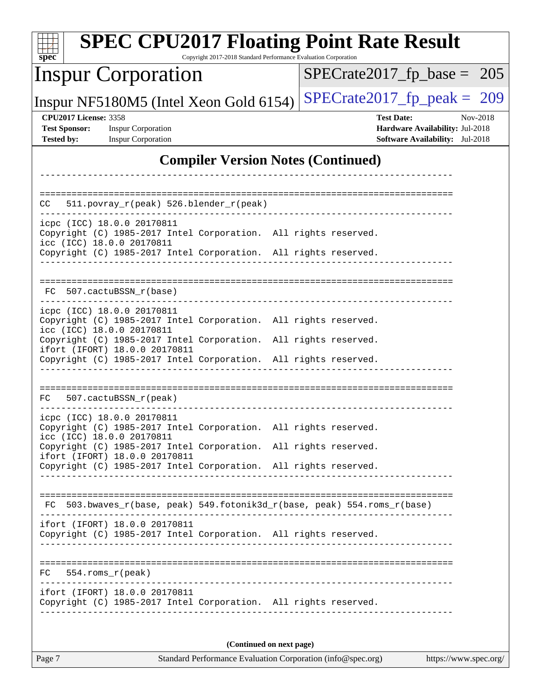| <b>SPEC CPU2017 Floating Point Rate Result</b><br>Copyright 2017-2018 Standard Performance Evaluation Corporation<br>$spec^*$                  |                                                                                                            |  |  |  |
|------------------------------------------------------------------------------------------------------------------------------------------------|------------------------------------------------------------------------------------------------------------|--|--|--|
| <b>Inspur Corporation</b>                                                                                                                      | $SPECrate2017_fp\_base = 205$                                                                              |  |  |  |
| Inspur NF5180M5 (Intel Xeon Gold 6154)                                                                                                         | $SPECTate2017$ _fp_peak = 209                                                                              |  |  |  |
| <b>CPU2017 License: 3358</b><br><b>Test Sponsor:</b><br><b>Inspur Corporation</b><br><b>Tested by:</b><br><b>Inspur Corporation</b>            | <b>Test Date:</b><br>Nov-2018<br>Hardware Availability: Jul-2018<br><b>Software Availability:</b> Jul-2018 |  |  |  |
| <b>Compiler Version Notes (Continued)</b>                                                                                                      |                                                                                                            |  |  |  |
|                                                                                                                                                |                                                                                                            |  |  |  |
| 511.povray_r(peak) 526.blender_r(peak)<br>CC                                                                                                   |                                                                                                            |  |  |  |
| icpc (ICC) 18.0.0 20170811<br>Copyright (C) 1985-2017 Intel Corporation. All rights reserved.<br>icc (ICC) 18.0.0 20170811                     |                                                                                                            |  |  |  |
| Copyright (C) 1985-2017 Intel Corporation. All rights reserved.                                                                                |                                                                                                            |  |  |  |
| 507.cactuBSSN r(base)<br>FC.                                                                                                                   |                                                                                                            |  |  |  |
| icpc (ICC) 18.0.0 20170811<br>Copyright (C) 1985-2017 Intel Corporation. All rights reserved.<br>icc (ICC) 18.0.0 20170811                     |                                                                                                            |  |  |  |
| Copyright (C) 1985-2017 Intel Corporation.<br>ifort (IFORT) 18.0.0 20170811<br>Copyright (C) 1985-2017 Intel Corporation. All rights reserved. | All rights reserved.                                                                                       |  |  |  |
| FC.<br>507.cactuBSSN_r(peak)                                                                                                                   |                                                                                                            |  |  |  |
| icpc (ICC) 18.0.0 20170811<br>Copyright (C) 1985-2017 Intel Corporation. All rights reserved.<br>icc (ICC) 18.0.0 20170811                     |                                                                                                            |  |  |  |
| Copyright (C) 1985-2017 Intel Corporation. All rights reserved.<br>ifort (IFORT) 18.0.0 20170811                                               |                                                                                                            |  |  |  |
| Copyright (C) 1985-2017 Intel Corporation. All rights reserved.                                                                                |                                                                                                            |  |  |  |
|                                                                                                                                                |                                                                                                            |  |  |  |
| FC 503.bwaves_r(base, peak) 549.fotonik3d_r(base, peak) 554.roms_r(base)                                                                       |                                                                                                            |  |  |  |
| ifort (IFORT) 18.0.0 20170811<br>Copyright (C) 1985-2017 Intel Corporation. All rights reserved.                                               |                                                                                                            |  |  |  |
| $FC 554.rows_r (peak)$<br>__________________                                                                                                   |                                                                                                            |  |  |  |
| ifort (IFORT) 18.0.0 20170811<br>Copyright (C) 1985-2017 Intel Corporation. All rights reserved.                                               |                                                                                                            |  |  |  |
| (Continued on next page)                                                                                                                       |                                                                                                            |  |  |  |
| Page 7<br>Standard Performance Evaluation Corporation (info@spec.org)<br>https://www.spec.org/                                                 |                                                                                                            |  |  |  |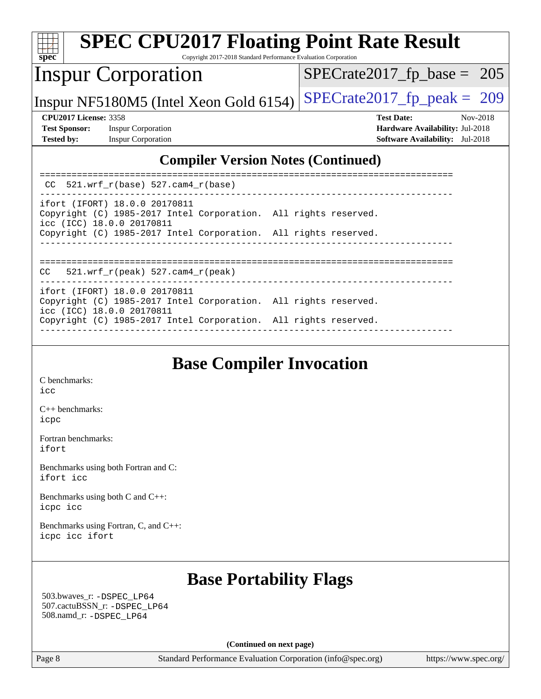| <b>SPEC CPU2017 Floating Point Rate Result</b><br>spec<br>Copyright 2017-2018 Standard Performance Evaluation Corporation           |                                                                                                            |
|-------------------------------------------------------------------------------------------------------------------------------------|------------------------------------------------------------------------------------------------------------|
| <b>Inspur Corporation</b>                                                                                                           | $SPECTate2017$ _fp_base = 205                                                                              |
| Inspur NF5180M5 (Intel Xeon Gold 6154)                                                                                              | $SPECTate2017$ _fp_peak = 209                                                                              |
| <b>CPU2017 License: 3358</b><br><b>Test Sponsor:</b><br><b>Inspur Corporation</b><br><b>Tested by:</b><br><b>Inspur Corporation</b> | <b>Test Date:</b><br>Nov-2018<br>Hardware Availability: Jul-2018<br><b>Software Availability:</b> Jul-2018 |
| <b>Compiler Version Notes (Continued)</b>                                                                                           |                                                                                                            |
| $CC$ 521.wrf $r(base)$ 527.cam4 $r(base)$                                                                                           |                                                                                                            |
| ifort (IFORT) 18.0.0 20170811<br>Copyright (C) 1985-2017 Intel Corporation. All rights reserved.<br>icc (ICC) 18.0.0 20170811       |                                                                                                            |
| Copyright (C) 1985-2017 Intel Corporation. All rights reserved.                                                                     |                                                                                                            |
| 521.wrf $r(\text{peak})$ 527.cam4 $r(\text{peak})$<br>CC.                                                                           |                                                                                                            |
| ifort (IFORT) 18.0.0 20170811<br>Copyright (C) 1985-2017 Intel Corporation. All rights reserved.<br>icc (ICC) 18.0.0 20170811       |                                                                                                            |
| Copyright (C) 1985-2017 Intel Corporation. All rights reserved.                                                                     |                                                                                                            |

# **[Base Compiler Invocation](http://www.spec.org/auto/cpu2017/Docs/result-fields.html#BaseCompilerInvocation)**

------------------------------------------------------------------------------

[C benchmarks](http://www.spec.org/auto/cpu2017/Docs/result-fields.html#Cbenchmarks): [icc](http://www.spec.org/cpu2017/results/res2018q4/cpu2017-20181105-09483.flags.html#user_CCbase_intel_icc_18.0_66fc1ee009f7361af1fbd72ca7dcefbb700085f36577c54f309893dd4ec40d12360134090235512931783d35fd58c0460139e722d5067c5574d8eaf2b3e37e92)

[C++ benchmarks:](http://www.spec.org/auto/cpu2017/Docs/result-fields.html#CXXbenchmarks) [icpc](http://www.spec.org/cpu2017/results/res2018q4/cpu2017-20181105-09483.flags.html#user_CXXbase_intel_icpc_18.0_c510b6838c7f56d33e37e94d029a35b4a7bccf4766a728ee175e80a419847e808290a9b78be685c44ab727ea267ec2f070ec5dc83b407c0218cded6866a35d07)

[Fortran benchmarks](http://www.spec.org/auto/cpu2017/Docs/result-fields.html#Fortranbenchmarks): [ifort](http://www.spec.org/cpu2017/results/res2018q4/cpu2017-20181105-09483.flags.html#user_FCbase_intel_ifort_18.0_8111460550e3ca792625aed983ce982f94888b8b503583aa7ba2b8303487b4d8a21a13e7191a45c5fd58ff318f48f9492884d4413fa793fd88dd292cad7027ca)

[Benchmarks using both Fortran and C](http://www.spec.org/auto/cpu2017/Docs/result-fields.html#BenchmarksusingbothFortranandC): [ifort](http://www.spec.org/cpu2017/results/res2018q4/cpu2017-20181105-09483.flags.html#user_CC_FCbase_intel_ifort_18.0_8111460550e3ca792625aed983ce982f94888b8b503583aa7ba2b8303487b4d8a21a13e7191a45c5fd58ff318f48f9492884d4413fa793fd88dd292cad7027ca) [icc](http://www.spec.org/cpu2017/results/res2018q4/cpu2017-20181105-09483.flags.html#user_CC_FCbase_intel_icc_18.0_66fc1ee009f7361af1fbd72ca7dcefbb700085f36577c54f309893dd4ec40d12360134090235512931783d35fd58c0460139e722d5067c5574d8eaf2b3e37e92)

[Benchmarks using both C and C++](http://www.spec.org/auto/cpu2017/Docs/result-fields.html#BenchmarksusingbothCandCXX): [icpc](http://www.spec.org/cpu2017/results/res2018q4/cpu2017-20181105-09483.flags.html#user_CC_CXXbase_intel_icpc_18.0_c510b6838c7f56d33e37e94d029a35b4a7bccf4766a728ee175e80a419847e808290a9b78be685c44ab727ea267ec2f070ec5dc83b407c0218cded6866a35d07) [icc](http://www.spec.org/cpu2017/results/res2018q4/cpu2017-20181105-09483.flags.html#user_CC_CXXbase_intel_icc_18.0_66fc1ee009f7361af1fbd72ca7dcefbb700085f36577c54f309893dd4ec40d12360134090235512931783d35fd58c0460139e722d5067c5574d8eaf2b3e37e92)

[Benchmarks using Fortran, C, and C++:](http://www.spec.org/auto/cpu2017/Docs/result-fields.html#BenchmarksusingFortranCandCXX) [icpc](http://www.spec.org/cpu2017/results/res2018q4/cpu2017-20181105-09483.flags.html#user_CC_CXX_FCbase_intel_icpc_18.0_c510b6838c7f56d33e37e94d029a35b4a7bccf4766a728ee175e80a419847e808290a9b78be685c44ab727ea267ec2f070ec5dc83b407c0218cded6866a35d07) [icc](http://www.spec.org/cpu2017/results/res2018q4/cpu2017-20181105-09483.flags.html#user_CC_CXX_FCbase_intel_icc_18.0_66fc1ee009f7361af1fbd72ca7dcefbb700085f36577c54f309893dd4ec40d12360134090235512931783d35fd58c0460139e722d5067c5574d8eaf2b3e37e92) [ifort](http://www.spec.org/cpu2017/results/res2018q4/cpu2017-20181105-09483.flags.html#user_CC_CXX_FCbase_intel_ifort_18.0_8111460550e3ca792625aed983ce982f94888b8b503583aa7ba2b8303487b4d8a21a13e7191a45c5fd58ff318f48f9492884d4413fa793fd88dd292cad7027ca)

### **[Base Portability Flags](http://www.spec.org/auto/cpu2017/Docs/result-fields.html#BasePortabilityFlags)**

 503.bwaves\_r: [-DSPEC\\_LP64](http://www.spec.org/cpu2017/results/res2018q4/cpu2017-20181105-09483.flags.html#suite_basePORTABILITY503_bwaves_r_DSPEC_LP64) 507.cactuBSSN\_r: [-DSPEC\\_LP64](http://www.spec.org/cpu2017/results/res2018q4/cpu2017-20181105-09483.flags.html#suite_basePORTABILITY507_cactuBSSN_r_DSPEC_LP64) 508.namd\_r: [-DSPEC\\_LP64](http://www.spec.org/cpu2017/results/res2018q4/cpu2017-20181105-09483.flags.html#suite_basePORTABILITY508_namd_r_DSPEC_LP64)

**(Continued on next page)**

Page 8 Standard Performance Evaluation Corporation [\(info@spec.org\)](mailto:info@spec.org) <https://www.spec.org/>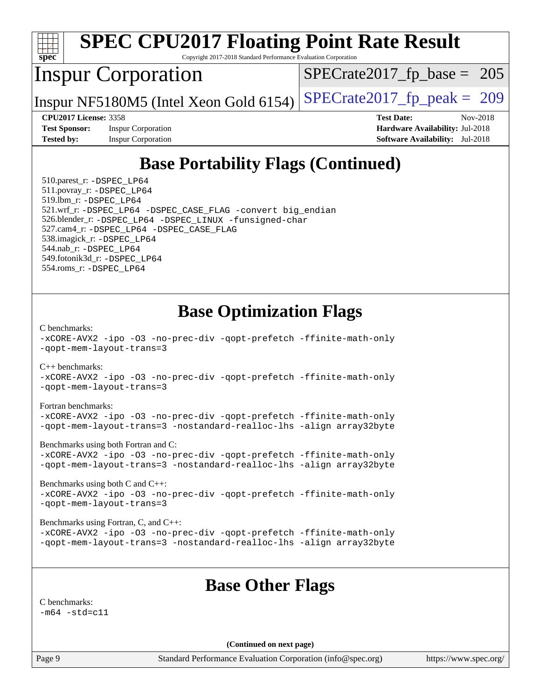

Page 9 Standard Performance Evaluation Corporation [\(info@spec.org\)](mailto:info@spec.org) <https://www.spec.org/>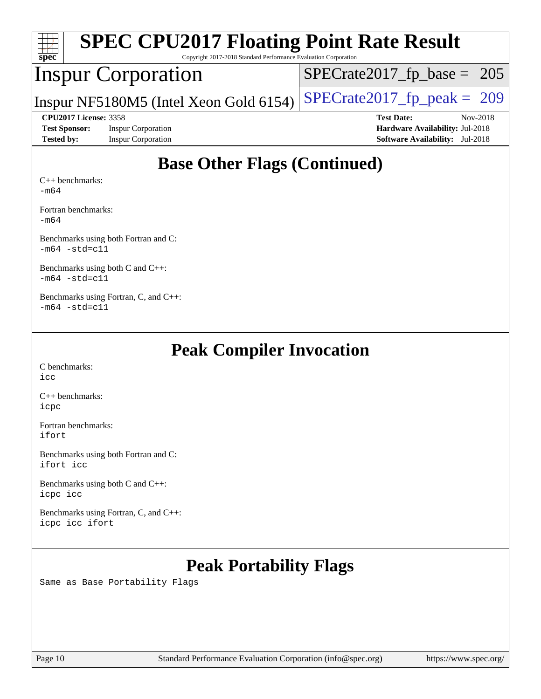| <b>SPEC CPU2017 Floating Point Rate Result</b><br>$Spec^*$<br>Copyright 2017-2018 Standard Performance Evaluation Corporation |                                        |                                        |  |  |
|-------------------------------------------------------------------------------------------------------------------------------|----------------------------------------|----------------------------------------|--|--|
|                                                                                                                               | <b>Inspur Corporation</b>              | $SPECTate2017_fp\_base = 205$          |  |  |
|                                                                                                                               | Inspur NF5180M5 (Intel Xeon Gold 6154) | $SPECrate2017_fp\_peak = 209$          |  |  |
| <b>CPU2017 License: 3358</b>                                                                                                  |                                        | <b>Test Date:</b><br>Nov-2018          |  |  |
| <b>Test Sponsor:</b>                                                                                                          | <b>Inspur Corporation</b>              | <b>Hardware Availability: Jul-2018</b> |  |  |
| <b>Tested by:</b>                                                                                                             | <b>Inspur Corporation</b>              | <b>Software Availability:</b> Jul-2018 |  |  |
|                                                                                                                               | <b>Base Other Flags (Continued)</b>    |                                        |  |  |

[Fortran benchmarks](http://www.spec.org/auto/cpu2017/Docs/result-fields.html#Fortranbenchmarks):

[-m64](http://www.spec.org/cpu2017/results/res2018q4/cpu2017-20181105-09483.flags.html#user_FCbase_intel_intel64_18.0_af43caccfc8ded86e7699f2159af6efc7655f51387b94da716254467f3c01020a5059329e2569e4053f409e7c9202a7efc638f7a6d1ffb3f52dea4a3e31d82ab)

[Benchmarks using both Fortran and C](http://www.spec.org/auto/cpu2017/Docs/result-fields.html#BenchmarksusingbothFortranandC): [-m64](http://www.spec.org/cpu2017/results/res2018q4/cpu2017-20181105-09483.flags.html#user_CC_FCbase_intel_intel64_18.0_af43caccfc8ded86e7699f2159af6efc7655f51387b94da716254467f3c01020a5059329e2569e4053f409e7c9202a7efc638f7a6d1ffb3f52dea4a3e31d82ab) [-std=c11](http://www.spec.org/cpu2017/results/res2018q4/cpu2017-20181105-09483.flags.html#user_CC_FCbase_intel_compiler_c11_mode_0e1c27790398a4642dfca32ffe6c27b5796f9c2d2676156f2e42c9c44eaad0c049b1cdb667a270c34d979996257aeb8fc440bfb01818dbc9357bd9d174cb8524)

[Benchmarks using both C and C++](http://www.spec.org/auto/cpu2017/Docs/result-fields.html#BenchmarksusingbothCandCXX): [-m64](http://www.spec.org/cpu2017/results/res2018q4/cpu2017-20181105-09483.flags.html#user_CC_CXXbase_intel_intel64_18.0_af43caccfc8ded86e7699f2159af6efc7655f51387b94da716254467f3c01020a5059329e2569e4053f409e7c9202a7efc638f7a6d1ffb3f52dea4a3e31d82ab) [-std=c11](http://www.spec.org/cpu2017/results/res2018q4/cpu2017-20181105-09483.flags.html#user_CC_CXXbase_intel_compiler_c11_mode_0e1c27790398a4642dfca32ffe6c27b5796f9c2d2676156f2e42c9c44eaad0c049b1cdb667a270c34d979996257aeb8fc440bfb01818dbc9357bd9d174cb8524)

[Benchmarks using Fortran, C, and C++:](http://www.spec.org/auto/cpu2017/Docs/result-fields.html#BenchmarksusingFortranCandCXX)  $-m64$   $-std=cl1$ 

## **[Peak Compiler Invocation](http://www.spec.org/auto/cpu2017/Docs/result-fields.html#PeakCompilerInvocation)**

[C benchmarks](http://www.spec.org/auto/cpu2017/Docs/result-fields.html#Cbenchmarks): [icc](http://www.spec.org/cpu2017/results/res2018q4/cpu2017-20181105-09483.flags.html#user_CCpeak_intel_icc_18.0_66fc1ee009f7361af1fbd72ca7dcefbb700085f36577c54f309893dd4ec40d12360134090235512931783d35fd58c0460139e722d5067c5574d8eaf2b3e37e92)

[C++ benchmarks:](http://www.spec.org/auto/cpu2017/Docs/result-fields.html#CXXbenchmarks) [icpc](http://www.spec.org/cpu2017/results/res2018q4/cpu2017-20181105-09483.flags.html#user_CXXpeak_intel_icpc_18.0_c510b6838c7f56d33e37e94d029a35b4a7bccf4766a728ee175e80a419847e808290a9b78be685c44ab727ea267ec2f070ec5dc83b407c0218cded6866a35d07)

[Fortran benchmarks](http://www.spec.org/auto/cpu2017/Docs/result-fields.html#Fortranbenchmarks): [ifort](http://www.spec.org/cpu2017/results/res2018q4/cpu2017-20181105-09483.flags.html#user_FCpeak_intel_ifort_18.0_8111460550e3ca792625aed983ce982f94888b8b503583aa7ba2b8303487b4d8a21a13e7191a45c5fd58ff318f48f9492884d4413fa793fd88dd292cad7027ca)

[Benchmarks using both Fortran and C](http://www.spec.org/auto/cpu2017/Docs/result-fields.html#BenchmarksusingbothFortranandC): [ifort](http://www.spec.org/cpu2017/results/res2018q4/cpu2017-20181105-09483.flags.html#user_CC_FCpeak_intel_ifort_18.0_8111460550e3ca792625aed983ce982f94888b8b503583aa7ba2b8303487b4d8a21a13e7191a45c5fd58ff318f48f9492884d4413fa793fd88dd292cad7027ca) [icc](http://www.spec.org/cpu2017/results/res2018q4/cpu2017-20181105-09483.flags.html#user_CC_FCpeak_intel_icc_18.0_66fc1ee009f7361af1fbd72ca7dcefbb700085f36577c54f309893dd4ec40d12360134090235512931783d35fd58c0460139e722d5067c5574d8eaf2b3e37e92)

[Benchmarks using both C and C++](http://www.spec.org/auto/cpu2017/Docs/result-fields.html#BenchmarksusingbothCandCXX): [icpc](http://www.spec.org/cpu2017/results/res2018q4/cpu2017-20181105-09483.flags.html#user_CC_CXXpeak_intel_icpc_18.0_c510b6838c7f56d33e37e94d029a35b4a7bccf4766a728ee175e80a419847e808290a9b78be685c44ab727ea267ec2f070ec5dc83b407c0218cded6866a35d07) [icc](http://www.spec.org/cpu2017/results/res2018q4/cpu2017-20181105-09483.flags.html#user_CC_CXXpeak_intel_icc_18.0_66fc1ee009f7361af1fbd72ca7dcefbb700085f36577c54f309893dd4ec40d12360134090235512931783d35fd58c0460139e722d5067c5574d8eaf2b3e37e92)

[Benchmarks using Fortran, C, and C++:](http://www.spec.org/auto/cpu2017/Docs/result-fields.html#BenchmarksusingFortranCandCXX) [icpc](http://www.spec.org/cpu2017/results/res2018q4/cpu2017-20181105-09483.flags.html#user_CC_CXX_FCpeak_intel_icpc_18.0_c510b6838c7f56d33e37e94d029a35b4a7bccf4766a728ee175e80a419847e808290a9b78be685c44ab727ea267ec2f070ec5dc83b407c0218cded6866a35d07) [icc](http://www.spec.org/cpu2017/results/res2018q4/cpu2017-20181105-09483.flags.html#user_CC_CXX_FCpeak_intel_icc_18.0_66fc1ee009f7361af1fbd72ca7dcefbb700085f36577c54f309893dd4ec40d12360134090235512931783d35fd58c0460139e722d5067c5574d8eaf2b3e37e92) [ifort](http://www.spec.org/cpu2017/results/res2018q4/cpu2017-20181105-09483.flags.html#user_CC_CXX_FCpeak_intel_ifort_18.0_8111460550e3ca792625aed983ce982f94888b8b503583aa7ba2b8303487b4d8a21a13e7191a45c5fd58ff318f48f9492884d4413fa793fd88dd292cad7027ca)

# **[Peak Portability Flags](http://www.spec.org/auto/cpu2017/Docs/result-fields.html#PeakPortabilityFlags)**

Same as Base Portability Flags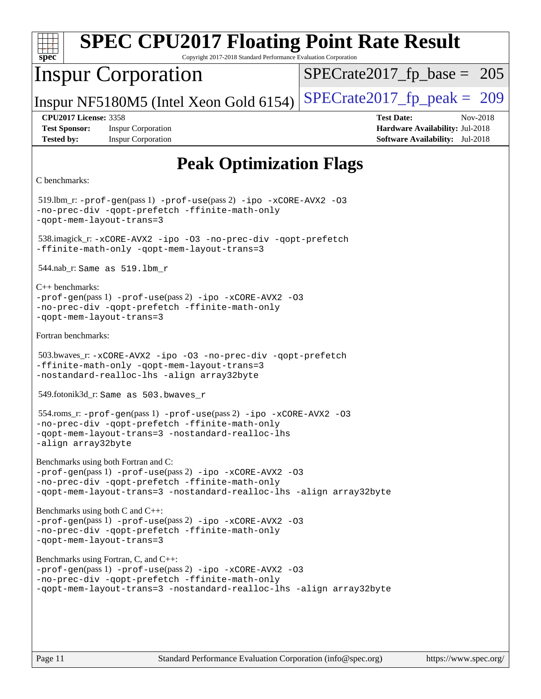| <b>SPEC CPU2017 Floating Point Rate Result</b><br>spec <sup>®</sup><br>Copyright 2017-2018 Standard Performance Evaluation Corporation                                                                                     |                                                                                                     |  |  |  |
|----------------------------------------------------------------------------------------------------------------------------------------------------------------------------------------------------------------------------|-----------------------------------------------------------------------------------------------------|--|--|--|
| <b>Inspur Corporation</b>                                                                                                                                                                                                  | $SPECrate2017_fp\_base = 205$                                                                       |  |  |  |
| Inspur NF5180M5 (Intel Xeon Gold 6154)                                                                                                                                                                                     | $SPECTate2017$ _fp_peak = 209                                                                       |  |  |  |
| <b>CPU2017 License: 3358</b><br><b>Test Sponsor:</b><br><b>Inspur Corporation</b><br><b>Tested by:</b><br><b>Inspur Corporation</b>                                                                                        | <b>Test Date:</b><br>Nov-2018<br>Hardware Availability: Jul-2018<br>Software Availability: Jul-2018 |  |  |  |
| <b>Peak Optimization Flags</b>                                                                                                                                                                                             |                                                                                                     |  |  |  |
| C benchmarks:                                                                                                                                                                                                              |                                                                                                     |  |  |  |
| $519$ .lbm_r: -prof-gen(pass 1) -prof-use(pass 2) -ipo -xCORE-AVX2 -03<br>-no-prec-div -qopt-prefetch -ffinite-math-only<br>-qopt-mem-layout-trans=3                                                                       |                                                                                                     |  |  |  |
| 538.imagick_r: -xCORE-AVX2 -ipo -03 -no-prec-div -qopt-prefetch<br>-ffinite-math-only -qopt-mem-layout-trans=3                                                                                                             |                                                                                                     |  |  |  |
| $544.nab_r$ : Same as $519.lbm_r$                                                                                                                                                                                          |                                                                                                     |  |  |  |
| $C_{++}$ benchmarks:<br>$-prof-gen(pass 1) -prof-use(pass 2) -ipo -xCORE-AVX2 -O3$<br>-no-prec-div -qopt-prefetch -ffinite-math-only<br>-gopt-mem-layout-trans=3                                                           |                                                                                                     |  |  |  |
| Fortran benchmarks:                                                                                                                                                                                                        |                                                                                                     |  |  |  |
| 503.bwaves_r:-xCORE-AVX2 -ipo -03 -no-prec-div -qopt-prefetch<br>-ffinite-math-only -qopt-mem-layout-trans=3<br>-nostandard-realloc-lhs -align array32byte                                                                 |                                                                                                     |  |  |  |
| 549.fotonik3d_r: Same as 503.bwaves_r                                                                                                                                                                                      |                                                                                                     |  |  |  |
| 554.roms_r:-prof-gen(pass 1) -prof-use(pass 2) -ipo -xCORE-AVX2 -03<br>-no-prec-div -qopt-prefetch -ffinite-math-only<br>-qopt-mem-layout-trans=3 -nostandard-realloc-lhs<br>-align array32byte                            |                                                                                                     |  |  |  |
| Benchmarks using both Fortran and C:<br>-prof-gen(pass 1) -prof-use(pass 2) -ipo -xCORE-AVX2 -03<br>-no-prec-div -qopt-prefetch -ffinite-math-only<br>-qopt-mem-layout-trans=3 -nostandard-realloc-lhs -align array32byte  |                                                                                                     |  |  |  |
| Benchmarks using both C and C++:<br>-prof-gen(pass 1) -prof-use(pass 2) -ipo -xCORE-AVX2 -03<br>-no-prec-div -qopt-prefetch -ffinite-math-only<br>-qopt-mem-layout-trans=3                                                 |                                                                                                     |  |  |  |
| Benchmarks using Fortran, C, and C++:<br>-prof-gen(pass 1) -prof-use(pass 2) -ipo -xCORE-AVX2 -03<br>-no-prec-div -qopt-prefetch -ffinite-math-only<br>-qopt-mem-layout-trans=3 -nostandard-realloc-lhs -align array32byte |                                                                                                     |  |  |  |
|                                                                                                                                                                                                                            |                                                                                                     |  |  |  |
|                                                                                                                                                                                                                            |                                                                                                     |  |  |  |